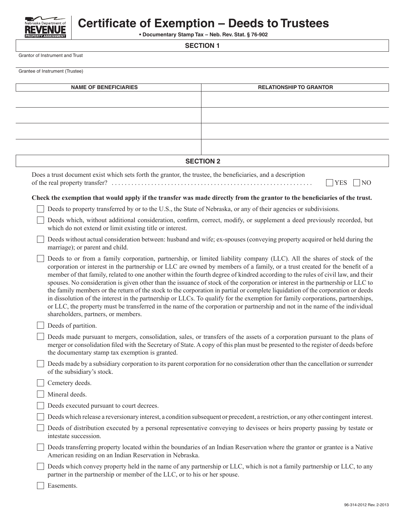

## **Certificate of Exemption – Deeds to Trustees**

**• Documentary Stamp Tax – Neb. Rev. Stat. § 76-902**

**SECTION 1**

Grantor of Instrument and Trust

Grantee of Instrument (Trustee)

| <b>NAME OF BENEFICIARIES</b>                                                                                | <b>RELATIONSHIP TO GRANTOR</b>                                                                                                                                                                                                                                                                                                                                                                                                                                                                                                                                                                                                                                                                                                                                                                                                                                                                                                    |
|-------------------------------------------------------------------------------------------------------------|-----------------------------------------------------------------------------------------------------------------------------------------------------------------------------------------------------------------------------------------------------------------------------------------------------------------------------------------------------------------------------------------------------------------------------------------------------------------------------------------------------------------------------------------------------------------------------------------------------------------------------------------------------------------------------------------------------------------------------------------------------------------------------------------------------------------------------------------------------------------------------------------------------------------------------------|
|                                                                                                             |                                                                                                                                                                                                                                                                                                                                                                                                                                                                                                                                                                                                                                                                                                                                                                                                                                                                                                                                   |
|                                                                                                             |                                                                                                                                                                                                                                                                                                                                                                                                                                                                                                                                                                                                                                                                                                                                                                                                                                                                                                                                   |
|                                                                                                             |                                                                                                                                                                                                                                                                                                                                                                                                                                                                                                                                                                                                                                                                                                                                                                                                                                                                                                                                   |
|                                                                                                             |                                                                                                                                                                                                                                                                                                                                                                                                                                                                                                                                                                                                                                                                                                                                                                                                                                                                                                                                   |
|                                                                                                             |                                                                                                                                                                                                                                                                                                                                                                                                                                                                                                                                                                                                                                                                                                                                                                                                                                                                                                                                   |
|                                                                                                             | <b>SECTION 2</b>                                                                                                                                                                                                                                                                                                                                                                                                                                                                                                                                                                                                                                                                                                                                                                                                                                                                                                                  |
| Does a trust document exist which sets forth the grantor, the trustee, the beneficiaries, and a description | <b>YES</b><br>$\overline{N}$                                                                                                                                                                                                                                                                                                                                                                                                                                                                                                                                                                                                                                                                                                                                                                                                                                                                                                      |
|                                                                                                             | Check the exemption that would apply if the transfer was made directly from the grantor to the beneficiaries of the trust.                                                                                                                                                                                                                                                                                                                                                                                                                                                                                                                                                                                                                                                                                                                                                                                                        |
|                                                                                                             | Deeds to property transferred by or to the U.S., the State of Nebraska, or any of their agencies or subdivisions.                                                                                                                                                                                                                                                                                                                                                                                                                                                                                                                                                                                                                                                                                                                                                                                                                 |
| which do not extend or limit existing title or interest.                                                    | Deeds which, without additional consideration, confirm, correct, modify, or supplement a deed previously recorded, but                                                                                                                                                                                                                                                                                                                                                                                                                                                                                                                                                                                                                                                                                                                                                                                                            |
| marriage); or parent and child.                                                                             | Deeds without actual consideration between: husband and wife; ex-spouses (conveying property acquired or held during the                                                                                                                                                                                                                                                                                                                                                                                                                                                                                                                                                                                                                                                                                                                                                                                                          |
| shareholders, partners, or members.                                                                         | Deeds to or from a family corporation, partnership, or limited liability company (LLC). All the shares of stock of the<br>corporation or interest in the partnership or LLC are owned by members of a family, or a trust created for the benefit of a<br>member of that family, related to one another within the fourth degree of kindred according to the rules of civil law, and their<br>spouses. No consideration is given other than the issuance of stock of the corporation or interest in the partnership or LLC to<br>the family members or the return of the stock to the corporation in partial or complete liquidation of the corporation or deeds<br>in dissolution of the interest in the partnership or LLCs. To qualify for the exemption for family corporations, partnerships,<br>or LLC, the property must be transferred in the name of the corporation or partnership and not in the name of the individual |
| Deeds of partition.                                                                                         |                                                                                                                                                                                                                                                                                                                                                                                                                                                                                                                                                                                                                                                                                                                                                                                                                                                                                                                                   |
| the documentary stamp tax exemption is granted.                                                             | Deeds made pursuant to mergers, consolidation, sales, or transfers of the assets of a corporation pursuant to the plans of<br>merger or consolidation filed with the Secretary of State. A copy of this plan must be presented to the register of deeds before                                                                                                                                                                                                                                                                                                                                                                                                                                                                                                                                                                                                                                                                    |
| of the subsidiary's stock.                                                                                  | Deeds made by a subsidiary corporation to its parent corporation for no consideration other than the cancellation or surrender                                                                                                                                                                                                                                                                                                                                                                                                                                                                                                                                                                                                                                                                                                                                                                                                    |
| Cemetery deeds.                                                                                             |                                                                                                                                                                                                                                                                                                                                                                                                                                                                                                                                                                                                                                                                                                                                                                                                                                                                                                                                   |
| Mineral deeds.                                                                                              |                                                                                                                                                                                                                                                                                                                                                                                                                                                                                                                                                                                                                                                                                                                                                                                                                                                                                                                                   |
| Deeds executed pursuant to court decrees.                                                                   |                                                                                                                                                                                                                                                                                                                                                                                                                                                                                                                                                                                                                                                                                                                                                                                                                                                                                                                                   |
|                                                                                                             | Deeds which release a reversionary interest, a condition subsequent or precedent, a restriction, or any other contingent interest.                                                                                                                                                                                                                                                                                                                                                                                                                                                                                                                                                                                                                                                                                                                                                                                                |
| intestate succession.                                                                                       | Deeds of distribution executed by a personal representative conveying to devisees or heirs property passing by testate or                                                                                                                                                                                                                                                                                                                                                                                                                                                                                                                                                                                                                                                                                                                                                                                                         |
| American residing on an Indian Reservation in Nebraska.                                                     | Deeds transferring property located within the boundaries of an Indian Reservation where the grantor or grantee is a Native                                                                                                                                                                                                                                                                                                                                                                                                                                                                                                                                                                                                                                                                                                                                                                                                       |
| partner in the partnership or member of the LLC, or to his or her spouse.                                   | Deeds which convey property held in the name of any partnership or LLC, which is not a family partnership or LLC, to any                                                                                                                                                                                                                                                                                                                                                                                                                                                                                                                                                                                                                                                                                                                                                                                                          |
| Easements.                                                                                                  |                                                                                                                                                                                                                                                                                                                                                                                                                                                                                                                                                                                                                                                                                                                                                                                                                                                                                                                                   |